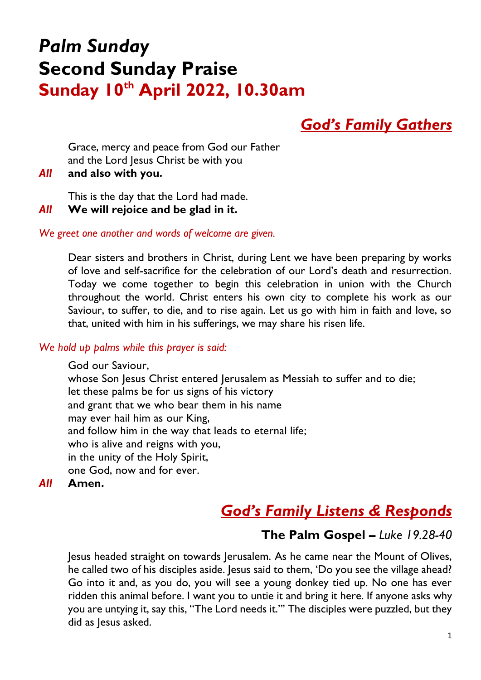# *Palm Sunday* **Second Sunday Praise Sunday 10 th April 2022, 10.30am**

*God's Family Gathers*

Grace, mercy and peace from God our Father and the Lord Jesus Christ be with you

*All* **and also with you.**

This is the day that the Lord had made.

#### *All* **We will rejoice and be glad in it.**

*We greet one another and words of welcome are given.*

Dear sisters and brothers in Christ, during Lent we have been preparing by works of love and self-sacrifice for the celebration of our Lord's death and resurrection. Today we come together to begin this celebration in union with the Church throughout the world. Christ enters his own city to complete his work as our Saviour, to suffer, to die, and to rise again. Let us go with him in faith and love, so that, united with him in his sufferings, we may share his risen life.

#### *We hold up palms while this prayer is said:*

God our Saviour,

whose Son Jesus Christ entered Jerusalem as Messiah to suffer and to die; let these palms be for us signs of his victory and grant that we who bear them in his name may ever hail him as our King, and follow him in the way that leads to eternal life; who is alive and reigns with you, in the unity of the Holy Spirit, one God, now and for ever.

*All* **Amen.**

### *God's Family Listens & Responds*

### **The Palm Gospel –** *Luke 19.28-40*

Jesus headed straight on towards Jerusalem. As he came near the Mount of Olives, he called two of his disciples aside. Jesus said to them, 'Do you see the village ahead? Go into it and, as you do, you will see a young donkey tied up. No one has ever ridden this animal before. I want you to untie it and bring it here. If anyone asks why you are untying it, say this, "The Lord needs it."' The disciples were puzzled, but they did as Jesus asked.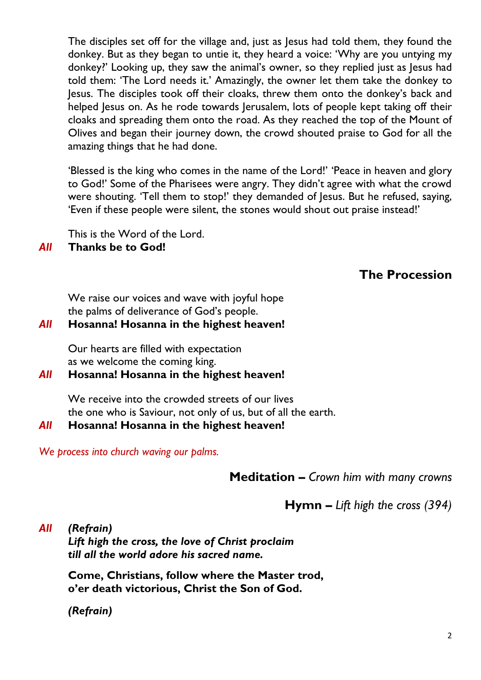The disciples set off for the village and, just as Jesus had told them, they found the donkey. But as they began to untie it, they heard a voice: 'Why are you untying my donkey?' Looking up, they saw the animal's owner, so they replied just as Jesus had told them: 'The Lord needs it.' Amazingly, the owner let them take the donkey to Jesus. The disciples took off their cloaks, threw them onto the donkey's back and helped Jesus on. As he rode towards Jerusalem, lots of people kept taking off their cloaks and spreading them onto the road. As they reached the top of the Mount of Olives and began their journey down, the crowd shouted praise to God for all the amazing things that he had done.

'Blessed is the king who comes in the name of the Lord!' 'Peace in heaven and glory to God!' Some of the Pharisees were angry. They didn't agree with what the crowd were shouting. 'Tell them to stop!' they demanded of Jesus. But he refused, saying, 'Even if these people were silent, the stones would shout out praise instead!'

This is the Word of the Lord.

#### *All* **Thanks be to God!**

### **The Procession**

We raise our voices and wave with joyful hope the palms of deliverance of God's people.

#### *All* **Hosanna! Hosanna in the highest heaven!**

Our hearts are filled with expectation as we welcome the coming king.

### *All* **Hosanna! Hosanna in the highest heaven!**

We receive into the crowded streets of our lives the one who is Saviour, not only of us, but of all the earth.

#### *All* **Hosanna! Hosanna in the highest heaven!**

*We process into church waving our palms.* 

**Meditation –** *Crown him with many crowns*

**Hymn –** *Lift high the cross (394)*

*All (Refrain)*

*Lift high the cross, the love of Christ proclaim till all the world adore his sacred name.*

**Come, Christians, follow where the Master trod, o'er death victorious, Christ the Son of God.**

*(Refrain)*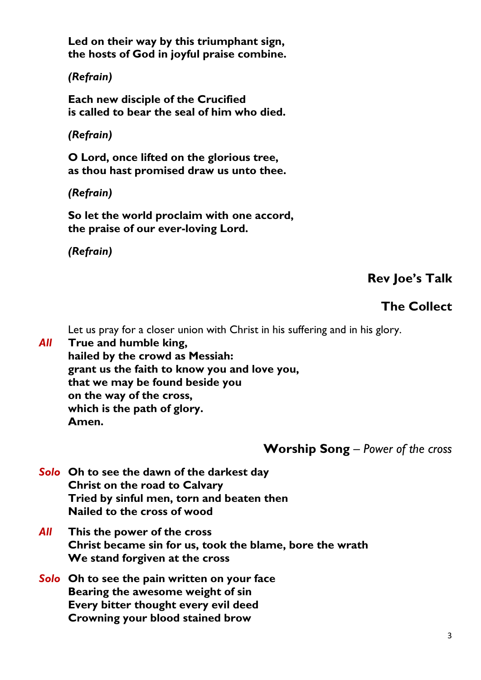**Led on their way by this triumphant sign, the hosts of God in joyful praise combine.**

*(Refrain)*

**Each new disciple of the Crucified is called to bear the seal of him who died.**

*(Refrain)*

**O Lord, once lifted on the glorious tree, as thou hast promised draw us unto thee.**

*(Refrain)*

**So let the world proclaim with one accord, the praise of our ever-loving Lord.**

*(Refrain)*

### **Rev Joe's Talk**

### **The Collect**

Let us pray for a closer union with Christ in his suffering and in his glory.

*All* **True and humble king, hailed by the crowd as Messiah: grant us the faith to know you and love you, that we may be found beside you on the way of the cross, which is the path of glory. Amen.**

### **Worship Song** – *Power of the cross*

- *Solo* **Oh to see the dawn of the darkest day Christ on the road to Calvary Tried by sinful men, torn and beaten then Nailed to the cross of wood**
- *All* **This the power of the cross Christ became sin for us, took the blame, bore the wrath We stand forgiven at the cross**
- *Solo* **Oh to see the pain written on your face Bearing the awesome weight of sin Every bitter thought every evil deed Crowning your blood stained brow**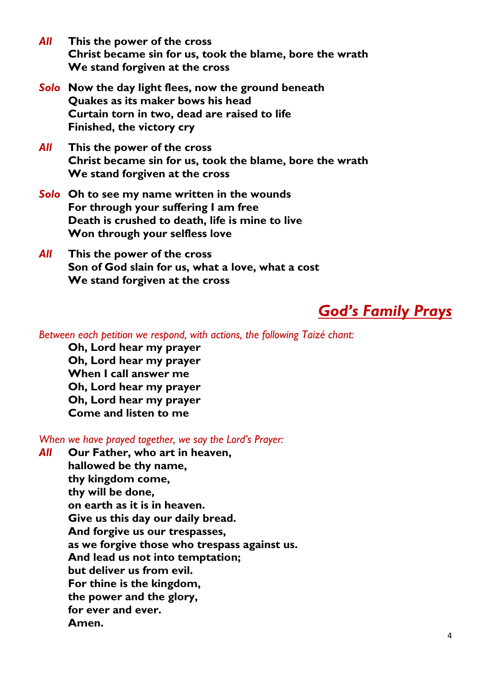- *All* **This the power of the cross Christ became sin for us, took the blame, bore the wrath We stand forgiven at the cross**
- *Solo* **Now the day light flees, now the ground beneath Quakes as its maker bows his head Curtain torn in two, dead are raised to life Finished, the victory cry**
- *All* **This the power of the cross Christ became sin for us, took the blame, bore the wrath We stand forgiven at the cross**
- *Solo* **Oh to see my name written in the wounds For through your suffering I am free Death is crushed to death, life is mine to live Won through your selfless love**
- *All* **This the power of the cross Son of God slain for us, what a love, what a cost We stand forgiven at the cross**



*Between each petition we respond, with actions, the following Taizé chant:*

**Oh, Lord hear my prayer Oh, Lord hear my prayer When I call answer me Oh, Lord hear my prayer Oh, Lord hear my prayer Come and listen to me**

*When we have prayed together, we say the Lord's Prayer:*

*All* **Our Father, who art in heaven, hallowed be thy name, thy kingdom come, thy will be done, on earth as it is in heaven. Give us this day our daily bread. And forgive us our trespasses, as we forgive those who trespass against us. And lead us not into temptation; but deliver us from evil. For thine is the kingdom, the power and the glory, for ever and ever. Amen.**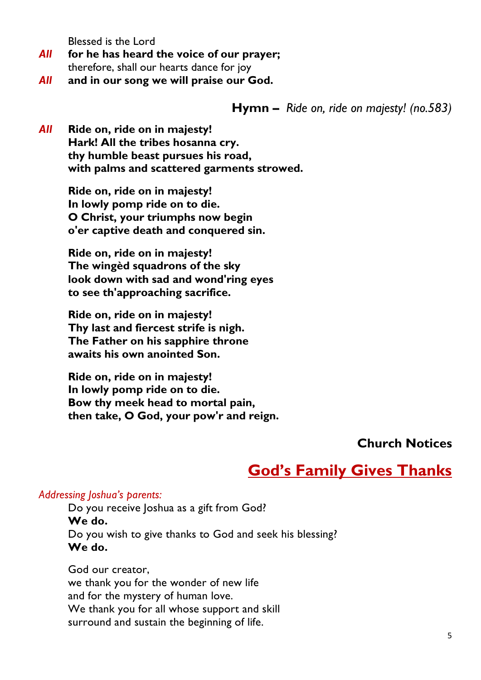Blessed is the Lord

- *All* **for he has heard the voice of our prayer;**
- therefore, shall our hearts dance for joy
- *All* **and in our song we will praise our God.**

**Hymn –** *Ride on, ride on majesty! (no.583)* 

*All* **Ride on, ride on in majesty! Hark! All the tribes hosanna cry. thy humble beast pursues his road, with palms and scattered garments strowed.**

> **Ride on, ride on in majesty! In lowly pomp ride on to die. O Christ, your triumphs now begin o'er captive death and conquered sin.**

**Ride on, ride on in majesty! The wingèd squadrons of the sky look down with sad and wond'ring eyes to see th'approaching sacrifice.**

**Ride on, ride on in majesty! Thy last and fiercest strife is nigh. The Father on his sapphire throne awaits his own anointed Son.**

**Ride on, ride on in majesty! In lowly pomp ride on to die. Bow thy meek head to mortal pain, then take, O God, your pow'r and reign.**

**Church Notices**

### **God's Family Gives Thanks**

#### *Addressing Joshua's parents:*

Do you receive Joshua as a gift from God? **We do.** Do you wish to give thanks to God and seek his blessing? **We do.**

God our creator, we thank you for the wonder of new life and for the mystery of human love. We thank you for all whose support and skill surround and sustain the beginning of life.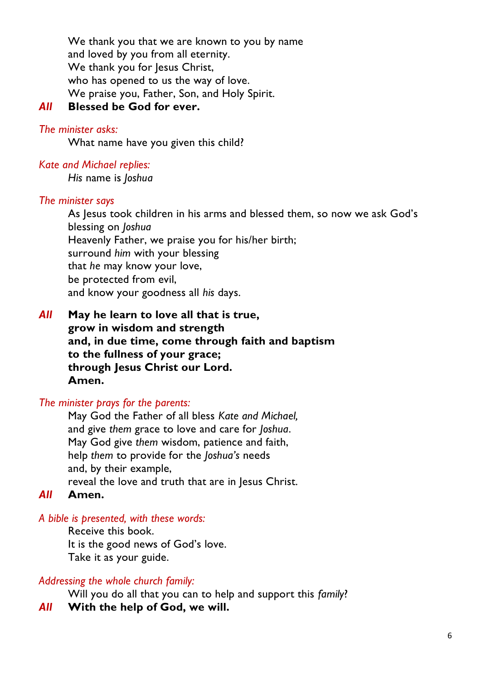We thank you that we are known to you by name and loved by you from all eternity. We thank you for lesus Christ, who has opened to us the way of love. We praise you, Father, Son, and Holy Spirit.

#### *All* **Blessed be God for ever.**

#### *The minister asks:*

What name have you given this child?

*Kate and Michael replies:*

*His* name is *Joshua*

#### *The minister says*

As Jesus took children in his arms and blessed them, so now we ask God's blessing on *Joshua* Heavenly Father, we praise you for his/her birth; surround *him* with your blessing that *he* may know your love, be protected from evil, and know your goodness all *his* days.

*All* **May he learn to love all that is true, grow in wisdom and strength and, in due time, come through faith and baptism to the fullness of your grace; through Jesus Christ our Lord. Amen.**

#### *The minister prays for the parents:*

May God the Father of all bless *Kate and Michael,* and give *them* grace to love and care for *Joshua*. May God give *them* wisdom, patience and faith, help *them* to provide for the *Joshua's* needs and, by their example, reveal the love and truth that are in Jesus Christ.

#### *All* **Amen.**

*A bible is presented, with these words:*

Receive this book. It is the good news of God's love. Take it as your guide.

### *Addressing the whole church family:*

Will you do all that you can to help and support this *family*?

*All* **With the help of God, we will.**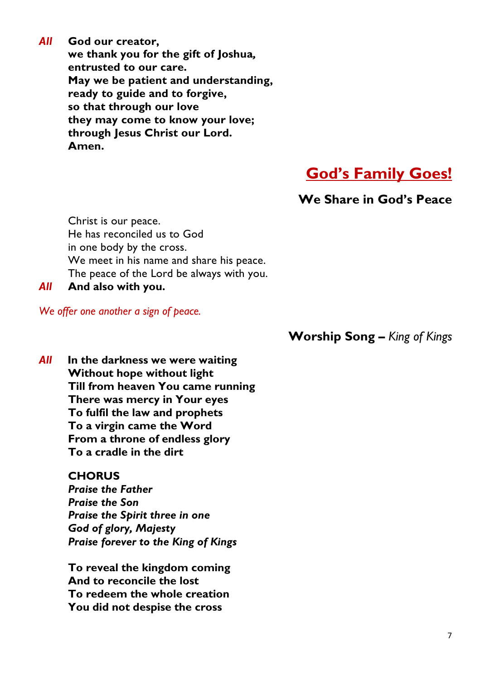*All* **God our creator, we thank you for the gift of Joshua***,* **entrusted to our care. May we be patient and understanding, ready to guide and to forgive, so that through our love they may come to know your love; through Jesus Christ our Lord. Amen.**



**We Share in God's Peace**

Christ is our peace. He has reconciled us to God in one body by the cross. We meet in his name and share his peace. The peace of the Lord be always with you.

*All* **And also with you.**

*We offer one another a sign of peace.*

**Worship Song –** *King of Kings*

*All* **In the darkness we were waiting Without hope without light Till from heaven You came running There was mercy in Your eyes To fulfil the law and prophets To a virgin came the Word From a throne of endless glory To a cradle in the dirt**

#### **CHORUS**

*Praise the Father Praise the Son Praise the Spirit three in one God of glory, Majesty Praise forever to the King of Kings*

**To reveal the kingdom coming And to reconcile the lost To redeem the whole creation You did not despise the cross**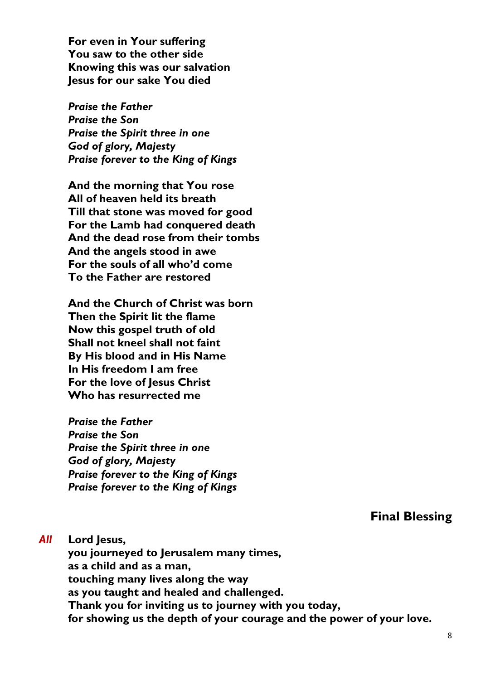**For even in Your suffering You saw to the other side Knowing this was our salvation Jesus for our sake You died**

*Praise the Father Praise the Son Praise the Spirit three in one God of glory, Majesty Praise forever to the King of Kings*

**And the morning that You rose All of heaven held its breath Till that stone was moved for good For the Lamb had conquered death And the dead rose from their tombs And the angels stood in awe For the souls of all who'd come To the Father are restored**

**And the Church of Christ was born Then the Spirit lit the flame Now this gospel truth of old Shall not kneel shall not faint By His blood and in His Name In His freedom I am free For the love of Jesus Christ Who has resurrected me**

*Praise the Father Praise the Son Praise the Spirit three in one God of glory, Majesty Praise forever to the King of Kings Praise forever to the King of Kings*

**Final Blessing**

#### *All* **Lord Jesus,**

**you journeyed to Jerusalem many times, as a child and as a man, touching many lives along the way as you taught and healed and challenged. Thank you for inviting us to journey with you today, for showing us the depth of your courage and the power of your love.**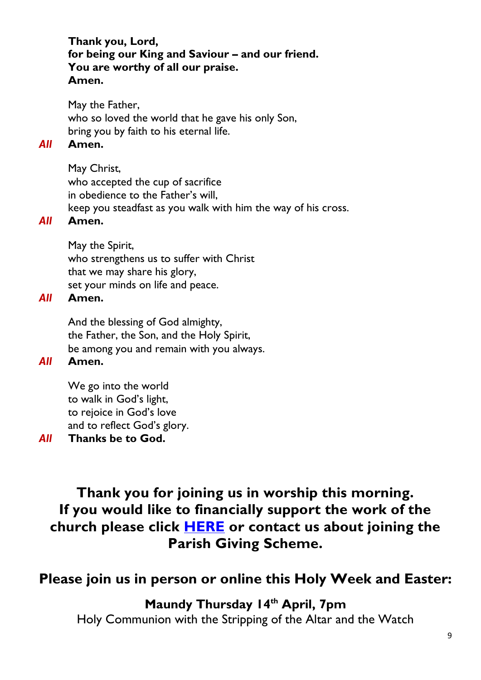#### **Thank you, Lord, for being our King and Saviour – and our friend. You are worthy of all our praise. Amen.**

May the Father, who so loved the world that he gave his only Son, bring you by faith to his eternal life.

#### *All* **Amen.**

May Christ, who accepted the cup of sacrifice in obedience to the Father's will, keep you steadfast as you walk with him the way of his cross.

#### *All* **Amen.**

May the Spirit, who strengthens us to suffer with Christ that we may share his glory, set your minds on life and peace.

#### *All* **Amen.**

And the blessing of God almighty, the Father, the Son, and the Holy Spirit, be among you and remain with you always.

*All* **Amen.**

We go into the world to walk in God's light, to rejoice in God's love and to reflect God's glory.

*All* **Thanks be to God.**

## **Thank you for joining us in worship this morning. If you would like to financially support the work of the church please click [HERE](https://www.thegivingmachine.co.uk/make-a-donation/select-a-cause/donate?cause=61423) or contact us about joining the Parish Giving Scheme.**

### **Please join us in person or online this Holy Week and Easter:**

### **Maundy Thursday 14th April, 7pm**

Holy Communion with the Stripping of the Altar and the Watch